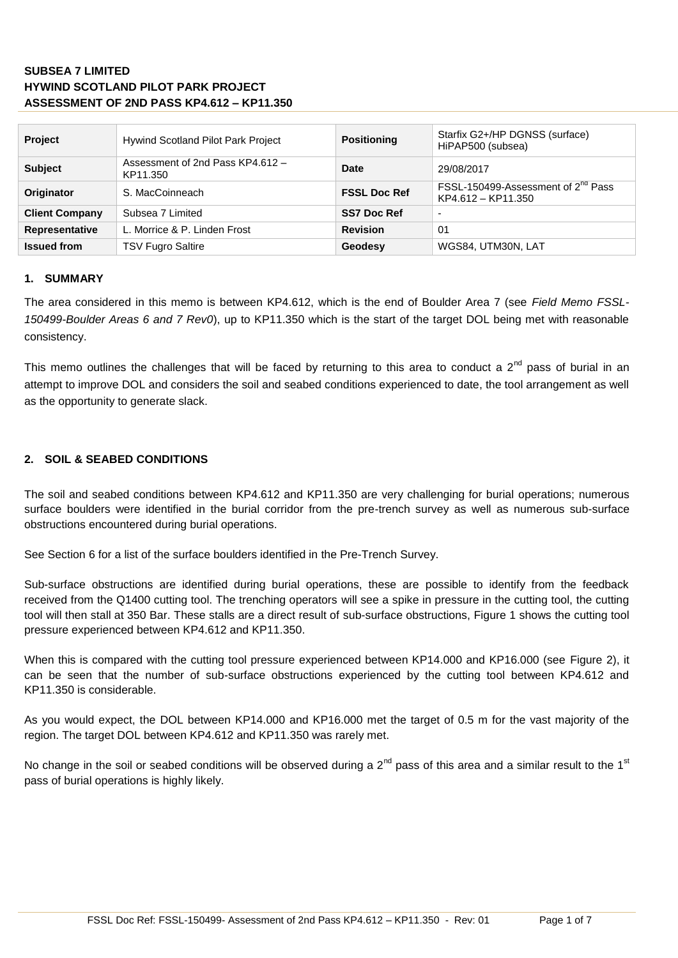| Project               | <b>Hywind Scotland Pilot Park Project</b>    | <b>Positioning</b>  | Starfix G2+/HP DGNSS (surface)<br>HiPAP500 (subsea)                  |
|-----------------------|----------------------------------------------|---------------------|----------------------------------------------------------------------|
| <b>Subject</b>        | Assessment of 2nd Pass KP4.612 -<br>KP11.350 | <b>Date</b>         | 29/08/2017                                                           |
| <b>Originator</b>     | S. MacCoinneach                              | <b>FSSL Doc Ref</b> | FSSL-150499-Assessment of 2 <sup>nd</sup> Pass<br>KP4.612 - KP11.350 |
| <b>Client Company</b> | Subsea 7 Limited                             | <b>SS7 Doc Ref</b>  | -                                                                    |
| <b>Representative</b> | L. Morrice & P. Linden Frost                 | <b>Revision</b>     | 01                                                                   |
| <b>Issued from</b>    | <b>TSV Fugro Saltire</b>                     | Geodesy             | WGS84, UTM30N, LAT                                                   |

#### **1. SUMMARY**

The area considered in this memo is between KP4.612, which is the end of Boulder Area 7 (see *Field Memo FSSL-150499-Boulder Areas 6 and 7 Rev0*), up to KP11.350 which is the start of the target DOL being met with reasonable consistency.

This memo outlines the challenges that will be faced by returning to this area to conduct a  $2^{nd}$  pass of burial in an attempt to improve DOL and considers the soil and seabed conditions experienced to date, the tool arrangement as well as the opportunity to generate slack.

#### **2. SOIL & SEABED CONDITIONS**

The soil and seabed conditions between KP4.612 and KP11.350 are very challenging for burial operations; numerous surface boulders were identified in the burial corridor from the pre-trench survey as well as numerous sub-surface obstructions encountered during burial operations.

See Section 6 for a list of the surface boulders identified in the Pre-Trench Survey.

Sub-surface obstructions are identified during burial operations, these are possible to identify from the feedback received from the Q1400 cutting tool. The trenching operators will see a spike in pressure in the cutting tool, the cutting tool will then stall at 350 Bar. These stalls are a direct result of sub-surface obstructions, [Figure 1](#page-1-0) shows the cutting tool pressure experienced between KP4.612 and KP11.350.

When this is compared with the cutting tool pressure experienced between KP14.000 and KP16.000 (see [Figure 2\)](#page-1-1), it can be seen that the number of sub-surface obstructions experienced by the cutting tool between KP4.612 and KP11.350 is considerable.

As you would expect, the DOL between KP14.000 and KP16.000 met the target of 0.5 m for the vast majority of the region. The target DOL between KP4.612 and KP11.350 was rarely met.

No change in the soil or seabed conditions will be observed during a  $2^{nd}$  pass of this area and a similar result to the 1<sup>st</sup> pass of burial operations is highly likely.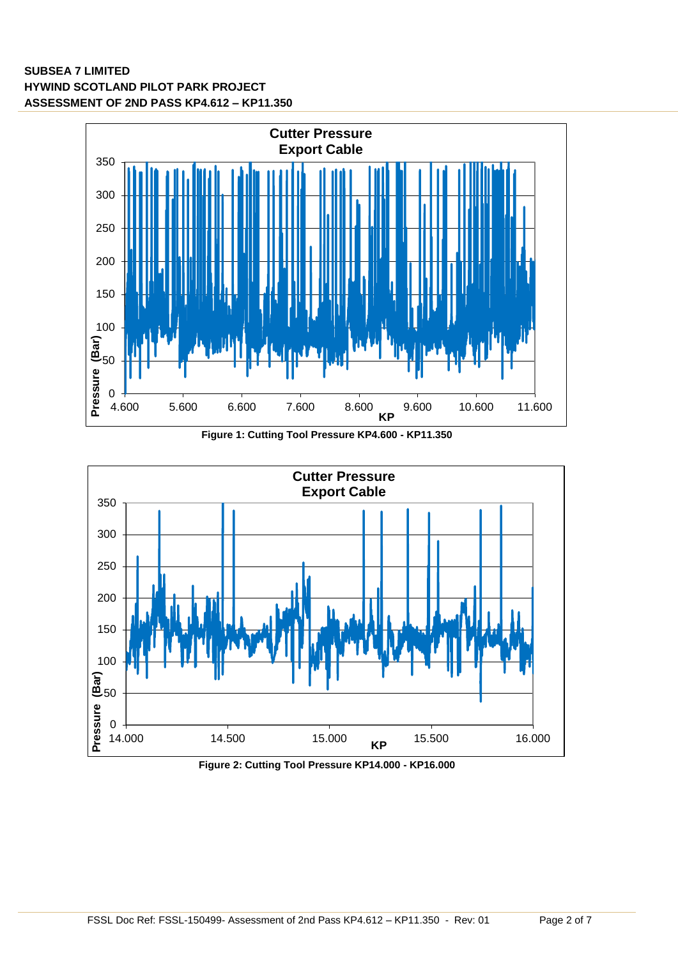

<span id="page-1-0"></span>

<span id="page-1-1"></span>**Figure 2: Cutting Tool Pressure KP14.000 - KP16.000**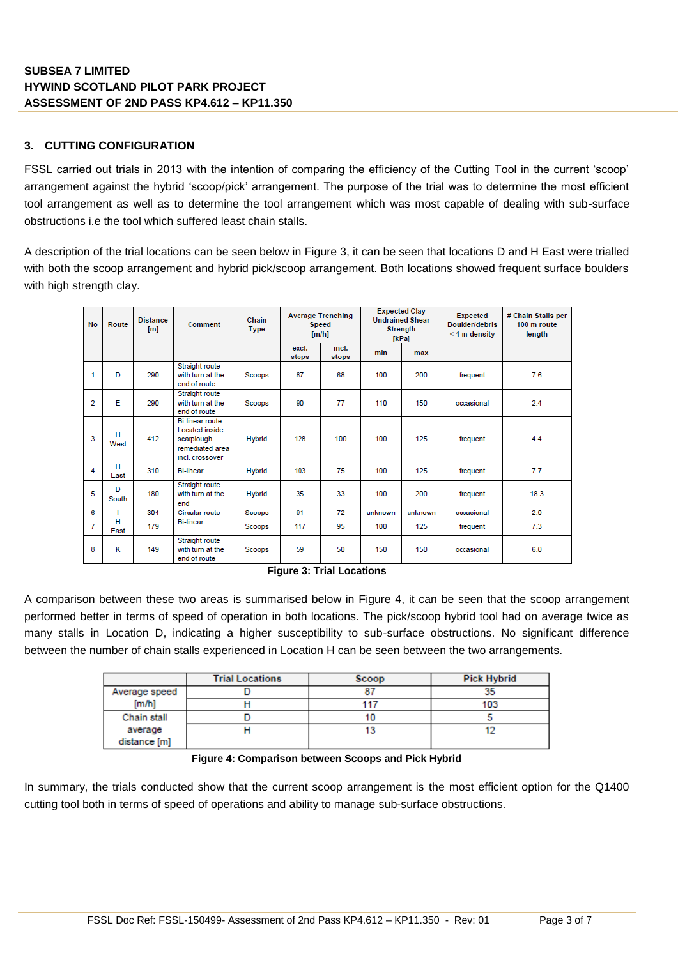## **3. CUTTING CONFIGURATION**

FSSL carried out trials in 2013 with the intention of comparing the efficiency of the Cutting Tool in the current 'scoop' arrangement against the hybrid 'scoop/pick' arrangement. The purpose of the trial was to determine the most efficient tool arrangement as well as to determine the tool arrangement which was most capable of dealing with sub-surface obstructions i.e the tool which suffered least chain stalls.

A description of the trial locations can be seen below in [Figure 3,](#page-2-0) it can be seen that locations D and H East were trialled with both the scoop arrangement and hybrid pick/scoop arrangement. Both locations showed frequent surface boulders with high strength clay.

| <b>No</b>      | Route      | <b>Distance</b><br>[ <sub>m</sub> ] | Comment                                                                                | Chain<br>Type | <b>Average Trenching</b><br><b>Speed</b><br>[m/h] |                | <b>Expected Clay</b><br><b>Undrained Shear</b><br><b>Strength</b><br>[kPa] |         | Expected<br>Boulder/debris<br>$<$ 1 m density | # Chain Stalls per<br>100 m route<br>length |
|----------------|------------|-------------------------------------|----------------------------------------------------------------------------------------|---------------|---------------------------------------------------|----------------|----------------------------------------------------------------------------|---------|-----------------------------------------------|---------------------------------------------|
|                |            |                                     |                                                                                        |               | excl.<br>stops                                    | incl.<br>stops | min                                                                        | max     |                                               |                                             |
| 1              | D          | 290                                 | Straight route<br>with turn at the<br>end of route                                     | Scoops        | 87                                                | 68             | 100                                                                        | 200     | frequent                                      | 7.6                                         |
| $\overline{2}$ | Е          | 290                                 | Straight route<br>with turn at the<br>end of route                                     | Scoops        | 90                                                | 77             | 110                                                                        | 150     | occasional                                    | 2.4                                         |
| 3              | н<br>West  | 412                                 | Bi-linear route.<br>Located inside<br>scarplough<br>remediated area<br>incl. crossover | <b>Hybrid</b> | 128                                               | 100            | 100                                                                        | 125     | frequent                                      | 4.4                                         |
| 4              | н<br>East  | 310                                 | <b>Bi-linear</b>                                                                       | Hybrid        | 103                                               | 75             | 100                                                                        | 125     | frequent                                      | 7.7                                         |
| 5              | D<br>South | 180                                 | Straight route<br>with turn at the<br>end                                              | <b>Hybrid</b> | 35                                                | 33             | 100                                                                        | 200     | frequent                                      | 18.3                                        |
| 6              | т          | 304                                 | Circular route                                                                         | Scoops        | 91                                                | 72             | unknown                                                                    | unknown | occasional                                    | 2.0                                         |
| 7              | н<br>East  | 179                                 | <b>Bi-linear</b>                                                                       | Scoops        | 117                                               | 95             | 100                                                                        | 125     | frequent                                      | 7.3                                         |
| 8              | к          | 149                                 | Straight route<br>with turn at the<br>end of route                                     | Scoops        | 59                                                | 50             | 150                                                                        | 150     | occasional                                    | 6.0                                         |

**Figure 3: Trial Locations**

<span id="page-2-0"></span>A comparison between these two areas is summarised below in [Figure 4,](#page-2-1) it can be seen that the scoop arrangement performed better in terms of speed of operation in both locations. The pick/scoop hybrid tool had on average twice as many stalls in Location D, indicating a higher susceptibility to sub-surface obstructions. No significant difference between the number of chain stalls experienced in Location H can be seen between the two arrangements.

|               | <b>Trial Locations</b> | Scoop | <b>Pick Hybrid</b> |
|---------------|------------------------|-------|--------------------|
| Average speed |                        | 87    | 35                 |
| [m/h]         |                        | 117   | 103                |
| Chain stall   |                        |       |                    |
| average       |                        |       |                    |
| distance [m]  |                        |       |                    |

**Figure 4: Comparison between Scoops and Pick Hybrid**

<span id="page-2-1"></span>In summary, the trials conducted show that the current scoop arrangement is the most efficient option for the Q1400 cutting tool both in terms of speed of operations and ability to manage sub-surface obstructions.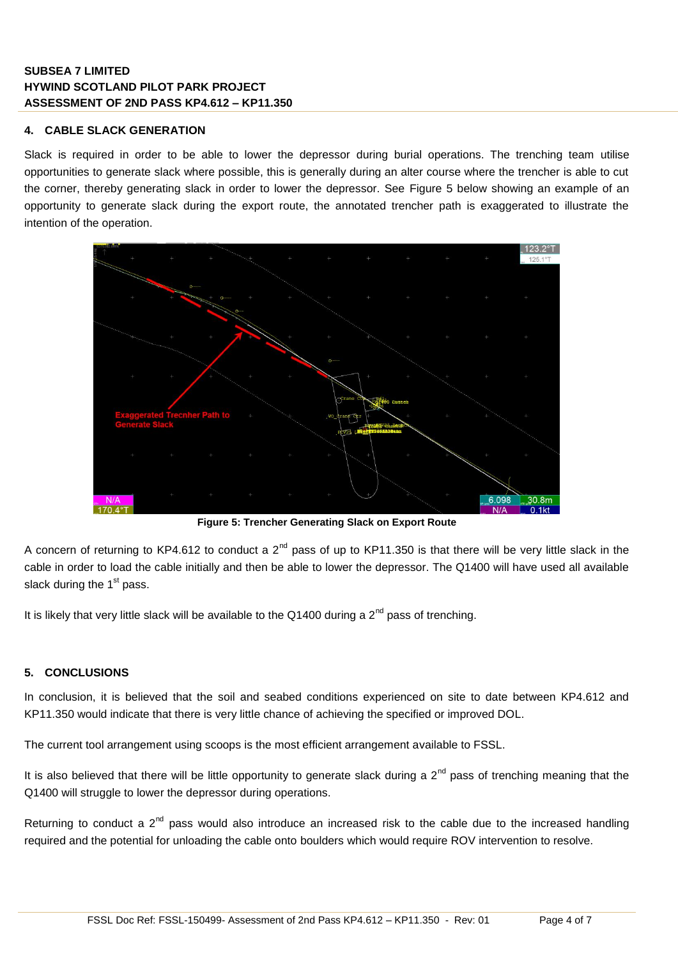#### **4. CABLE SLACK GENERATION**

Slack is required in order to be able to lower the depressor during burial operations. The trenching team utilise opportunities to generate slack where possible, this is generally during an alter course where the trencher is able to cut the corner, thereby generating slack in order to lower the depressor. See [Figure 5](#page-3-0) below showing an example of an opportunity to generate slack during the export route, the annotated trencher path is exaggerated to illustrate the intention of the operation.



**Figure 5: Trencher Generating Slack on Export Route**

<span id="page-3-0"></span>A concern of returning to KP4.612 to conduct a  $2^{nd}$  pass of up to KP11.350 is that there will be very little slack in the cable in order to load the cable initially and then be able to lower the depressor. The Q1400 will have used all available slack during the  $1<sup>st</sup>$  pass.

It is likely that very little slack will be available to the Q1400 during a  $2^{nd}$  pass of trenching.

## **5. CONCLUSIONS**

In conclusion, it is believed that the soil and seabed conditions experienced on site to date between KP4.612 and KP11.350 would indicate that there is very little chance of achieving the specified or improved DOL.

The current tool arrangement using scoops is the most efficient arrangement available to FSSL.

It is also believed that there will be little opportunity to generate slack during a  $2^{nd}$  pass of trenching meaning that the Q1400 will struggle to lower the depressor during operations.

Returning to conduct a  $2<sup>nd</sup>$  pass would also introduce an increased risk to the cable due to the increased handling required and the potential for unloading the cable onto boulders which would require ROV intervention to resolve.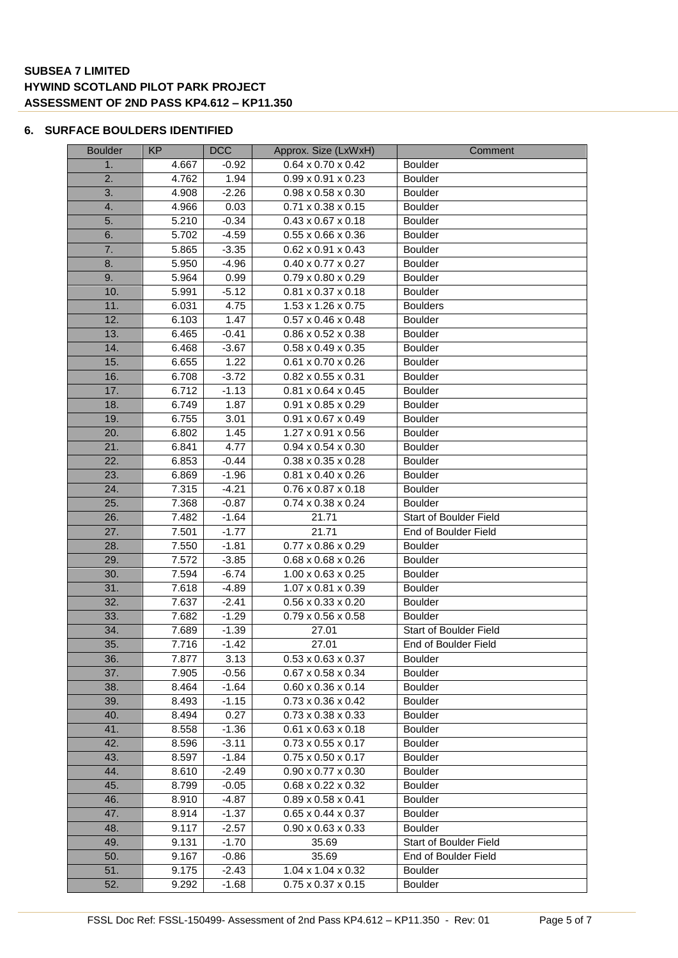#### **6. SURFACE BOULDERS IDENTIFIED**

| <b>Boulder</b> | <b>KP</b> | <b>DCC</b> | Approx. Size (LxWxH)           | Comment                |
|----------------|-----------|------------|--------------------------------|------------------------|
| 1.             | 4.667     | $-0.92$    | $0.64 \times 0.70 \times 0.42$ | <b>Boulder</b>         |
| 2.             | 4.762     | 1.94       | $0.99 \times 0.91 \times 0.23$ | <b>Boulder</b>         |
| 3.             | 4.908     | $-2.26$    | $0.98 \times 0.58 \times 0.30$ | <b>Boulder</b>         |
| 4.             | 4.966     | 0.03       | $0.71 \times 0.38 \times 0.15$ | <b>Boulder</b>         |
| 5.             | 5.210     | $-0.34$    | $0.43 \times 0.67 \times 0.18$ | <b>Boulder</b>         |
| 6.             | 5.702     | $-4.59$    | $0.55 \times 0.66 \times 0.36$ | <b>Boulder</b>         |
| 7.             | 5.865     | $-3.35$    | $0.62 \times 0.91 \times 0.43$ | <b>Boulder</b>         |
| 8.             | 5.950     | $-4.96$    | $0.40 \times 0.77 \times 0.27$ | <b>Boulder</b>         |
| 9.             | 5.964     | 0.99       | $0.79 \times 0.80 \times 0.29$ | <b>Boulder</b>         |
| 10.            | 5.991     | $-5.12$    | $0.81 \times 0.37 \times 0.18$ | <b>Boulder</b>         |
| 11.            | 6.031     | 4.75       | 1.53 x 1.26 x 0.75             | <b>Boulders</b>        |
| 12.            | 6.103     | 1.47       | $0.57 \times 0.46 \times 0.48$ | <b>Boulder</b>         |
| 13.            | 6.465     | $-0.41$    | $0.86 \times 0.52 \times 0.38$ | <b>Boulder</b>         |
| 14.            | 6.468     | $-3.67$    | $0.58 \times 0.49 \times 0.35$ | <b>Boulder</b>         |
| 15.            | 6.655     | 1.22       | $0.61 \times 0.70 \times 0.26$ | <b>Boulder</b>         |
| 16.            | 6.708     | $-3.72$    | $0.82 \times 0.55 \times 0.31$ | <b>Boulder</b>         |
| 17.            | 6.712     | $-1.13$    | $0.81 \times 0.64 \times 0.45$ | <b>Boulder</b>         |
| 18.            | 6.749     | 1.87       | $0.91 \times 0.85 \times 0.29$ | <b>Boulder</b>         |
| 19.            | 6.755     | 3.01       | $0.91 \times 0.67 \times 0.49$ | <b>Boulder</b>         |
| 20.            | 6.802     | 1.45       | 1.27 x 0.91 x 0.56             | <b>Boulder</b>         |
| 21.            | 6.841     | 4.77       | $0.94 \times 0.54 \times 0.30$ | <b>Boulder</b>         |
| 22.            | 6.853     | $-0.44$    | $0.38 \times 0.35 \times 0.28$ | <b>Boulder</b>         |
| 23.            | 6.869     | $-1.96$    | $0.81 \times 0.40 \times 0.26$ | <b>Boulder</b>         |
| 24.            | 7.315     | $-4.21$    | $0.76 \times 0.87 \times 0.18$ | <b>Boulder</b>         |
| 25.            | 7.368     | $-0.87$    | $0.74 \times 0.38 \times 0.24$ | <b>Boulder</b>         |
| 26.            | 7.482     | $-1.64$    | 21.71                          | Start of Boulder Field |
| 27.            | 7.501     | $-1.77$    | 21.71                          | End of Boulder Field   |
| 28.            | 7.550     | $-1.81$    | $0.77 \times 0.86 \times 0.29$ | Boulder                |
| 29.            | 7.572     | $-3.85$    | $0.68 \times 0.68 \times 0.26$ | <b>Boulder</b>         |
| 30.            | 7.594     | $-6.74$    | $1.00 \times 0.63 \times 0.25$ | <b>Boulder</b>         |
| 31.            | 7.618     | $-4.89$    | 1.07 x 0.81 x 0.39             | <b>Boulder</b>         |
| 32.            | 7.637     | $-2.41$    | $0.56 \times 0.33 \times 0.20$ | <b>Boulder</b>         |
| 33.            | 7.682     | $-1.29$    | $0.79 \times 0.56 \times 0.58$ | <b>Boulder</b>         |
| 34.            | 7.689     | $-1.39$    | 27.01                          | Start of Boulder Field |
| 35.            | 7.716     | $-1.42$    | 27.01                          | End of Boulder Field   |
| 36.            | 7.877     | 3.13       | $0.53 \times 0.63 \times 0.37$ | <b>Boulder</b>         |
| 37.            | 7.905     | $-0.56$    | $0.67 \times 0.58 \times 0.34$ | <b>Boulder</b>         |
| 38.            | 8.464     | $-1.64$    | $0.60 \times 0.36 \times 0.14$ | <b>Boulder</b>         |
| 39.            | 8.493     | $-1.15$    | $0.73 \times 0.36 \times 0.42$ | <b>Boulder</b>         |
| 40.            | 8.494     | 0.27       | $0.73 \times 0.38 \times 0.33$ | <b>Boulder</b>         |
| 41.            | 8.558     | $-1.36$    | $0.61 \times 0.63 \times 0.18$ | <b>Boulder</b>         |
| 42.            | 8.596     | $-3.11$    | $0.73 \times 0.55 \times 0.17$ | <b>Boulder</b>         |
| 43.            | 8.597     | $-1.84$    | $0.75 \times 0.50 \times 0.17$ | <b>Boulder</b>         |
| 44.            | 8.610     | $-2.49$    | $0.90 \times 0.77 \times 0.30$ | <b>Boulder</b>         |
| 45.            | 8.799     | $-0.05$    | $0.68 \times 0.22 \times 0.32$ | <b>Boulder</b>         |
| 46.            | 8.910     | $-4.87$    | $0.89 \times 0.58 \times 0.41$ | <b>Boulder</b>         |
| 47.            | 8.914     | $-1.37$    | $0.65 \times 0.44 \times 0.37$ | <b>Boulder</b>         |
| 48.            | 9.117     | $-2.57$    | $0.90 \times 0.63 \times 0.33$ | <b>Boulder</b>         |
| 49.            | 9.131     | $-1.70$    | 35.69                          | Start of Boulder Field |
| 50.            | 9.167     | $-0.86$    | 35.69                          | End of Boulder Field   |
| 51.            | 9.175     | $-2.43$    | $1.04 \times 1.04 \times 0.32$ | <b>Boulder</b>         |
| 52.            | 9.292     | $-1.68$    | $0.75 \times 0.37 \times 0.15$ | <b>Boulder</b>         |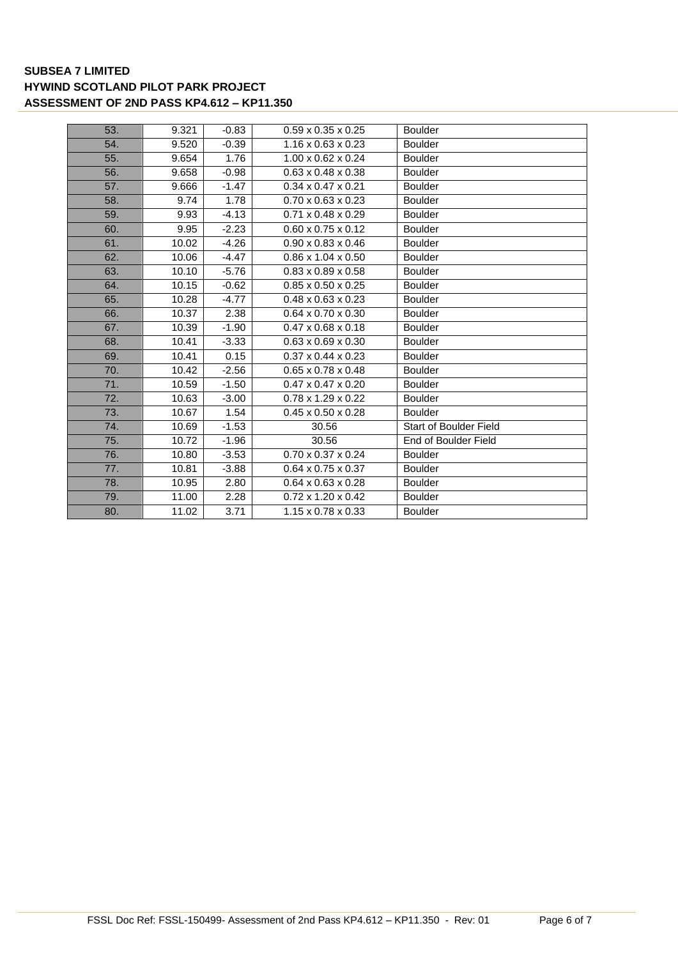| 53. | 9.321 | $-0.83$ | $0.59 \times 0.35 \times 0.25$ | <b>Boulder</b>                |
|-----|-------|---------|--------------------------------|-------------------------------|
| 54. | 9.520 | $-0.39$ | $1.16 \times 0.63 \times 0.23$ | <b>Boulder</b>                |
| 55. | 9.654 | 1.76    | $1.00 \times 0.62 \times 0.24$ | <b>Boulder</b>                |
| 56. | 9.658 | $-0.98$ | $0.63 \times 0.48 \times 0.38$ | <b>Boulder</b>                |
| 57. | 9.666 | $-1.47$ | $0.34 \times 0.47 \times 0.21$ | Boulder                       |
| 58. | 9.74  | 1.78    | $0.70 \times 0.63 \times 0.23$ | <b>Boulder</b>                |
| 59. | 9.93  | $-4.13$ | $0.71 \times 0.48 \times 0.29$ | <b>Boulder</b>                |
| 60. | 9.95  | $-2.23$ | $0.60 \times 0.75 \times 0.12$ | <b>Boulder</b>                |
| 61. | 10.02 | $-4.26$ | $0.90 \times 0.83 \times 0.46$ | <b>Boulder</b>                |
| 62. | 10.06 | $-4.47$ | $0.86 \times 1.04 \times 0.50$ | <b>Boulder</b>                |
| 63. | 10.10 | $-5.76$ | $0.83 \times 0.89 \times 0.58$ | <b>Boulder</b>                |
| 64. | 10.15 | $-0.62$ | $0.85 \times 0.50 \times 0.25$ | <b>Boulder</b>                |
| 65. | 10.28 | $-4.77$ | $0.48 \times 0.63 \times 0.23$ | <b>Boulder</b>                |
| 66. | 10.37 | 2.38    | $0.64 \times 0.70 \times 0.30$ | <b>Boulder</b>                |
| 67. | 10.39 | $-1.90$ | $0.47 \times 0.68 \times 0.18$ | <b>Boulder</b>                |
| 68. | 10.41 | $-3.33$ | $0.63 \times 0.69 \times 0.30$ | <b>Boulder</b>                |
| 69. | 10.41 | 0.15    | $0.37 \times 0.44 \times 0.23$ | <b>Boulder</b>                |
| 70. | 10.42 | $-2.56$ | $0.65 \times 0.78 \times 0.48$ | <b>Boulder</b>                |
| 71. | 10.59 | $-1.50$ | $0.47 \times 0.47 \times 0.20$ | <b>Boulder</b>                |
| 72. | 10.63 | $-3.00$ | $0.78 \times 1.29 \times 0.22$ | <b>Boulder</b>                |
| 73. | 10.67 | 1.54    | $0.45 \times 0.50 \times 0.28$ | <b>Boulder</b>                |
| 74. | 10.69 | $-1.53$ | 30.56                          | <b>Start of Boulder Field</b> |
| 75. | 10.72 | $-1.96$ | 30.56                          | End of Boulder Field          |
| 76. | 10.80 | $-3.53$ | $0.70 \times 0.37 \times 0.24$ | <b>Boulder</b>                |
| 77. | 10.81 | $-3.88$ | $0.64 \times 0.75 \times 0.37$ | <b>Boulder</b>                |
| 78. | 10.95 | 2.80    | $0.64 \times 0.63 \times 0.28$ | <b>Boulder</b>                |
| 79. | 11.00 | 2.28    | $0.72 \times 1.20 \times 0.42$ | <b>Boulder</b>                |
| 80. | 11.02 | 3.71    | $1.15 \times 0.78 \times 0.33$ | <b>Boulder</b>                |